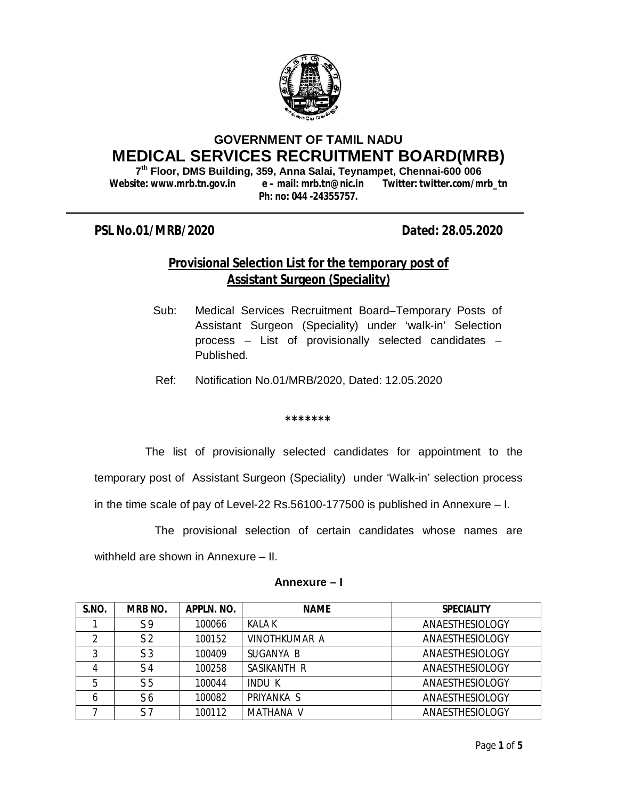

# **GOVERNMENT OF TAMIL NADU MEDICAL SERVICES RECRUITMENT BOARD(MRB)**

**7 th Floor, DMS Building, 359, Anna Salai, Teynampet, Chennai-600 006 Website: www.mrb.tn.gov.in e – mail: mrb.tn@nic.in Twitter: twitter.com/mrb\_tn Ph: no: 044 -24355757.**

## **PSL No.01/MRB/2020 Dated: 28.05.2020**

# **Provisional Selection List for the temporary post of Assistant Surgeon (Speciality)**

- Sub: Medical Services Recruitment Board–Temporary Posts of Assistant Surgeon (Speciality) under 'walk-in' Selection process – List of provisionally selected candidates – Published.
- Ref: Notification No.01/MRB/2020, Dated: 12.05.2020

**\*\*\*\*\*\*\*** 

 The list of provisionally selected candidates for appointment to the temporary post of Assistant Surgeon (Speciality) under 'Walk-in' selection process in the time scale of pay of Level-22 Rs.56100-177500 is published in Annexure – I.

The provisional selection of certain candidates whose names are

withheld are shown in Annexure – II.

### **Annexure – I**

| S.NO. | <b>MRB NO.</b> | APPLN. NO. | <b>NAME</b>          | <b>SPECIALITY</b> |
|-------|----------------|------------|----------------------|-------------------|
|       | S <sub>9</sub> | 100066     | KAI A K              | ANAESTHESIOLOGY   |
| 2     | S <sub>2</sub> | 100152     | <b>VINOTHKUMAR A</b> | ANAESTHESIOLOGY   |
| っ     | S <sub>3</sub> | 100409     | SUGANYA B            | ANAESTHESIOLOGY   |
| 4     | S 4            | 100258     | SASIKANTH R          | ANAESTHESIOLOGY   |
| 5     | S <sub>5</sub> | 100044     | <b>INDU K</b>        | ANAESTHESIOLOGY   |
| 6     | S6             | 100082     | PRIYANKA S           | ANAESTHESIOLOGY   |
|       | ς 7            | 100112     | <b>MATHANA V</b>     | ANAESTHESIOLOGY   |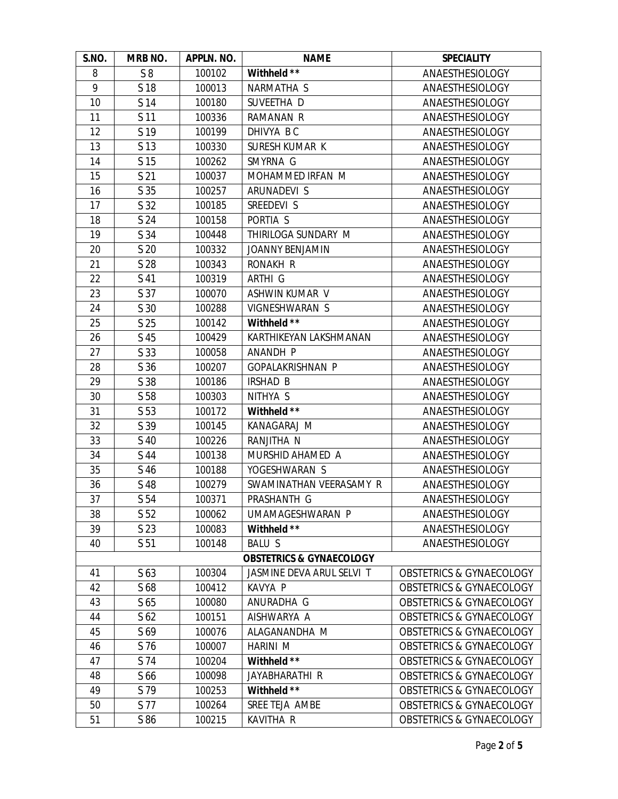| S.NO.                               | MRB NO.         | APPLN. NO. | <b>NAME</b>                                          | <b>SPECIALITY</b>                   |  |  |  |
|-------------------------------------|-----------------|------------|------------------------------------------------------|-------------------------------------|--|--|--|
| 8                                   | S8              | 100102     | Withheld **                                          | ANAESTHESIOLOGY                     |  |  |  |
| 9                                   | S 18            | 100013     | NARMATHA S                                           | ANAESTHESIOLOGY                     |  |  |  |
| 10                                  | S 14            | 100180     | SUVEETHA D                                           | ANAESTHESIOLOGY                     |  |  |  |
| 11                                  | S <sub>11</sub> | 100336     | <b>RAMANAN R</b>                                     | ANAESTHESIOLOGY                     |  |  |  |
| 12                                  | S 19            | 100199     | DHIVYA BC                                            | ANAESTHESIOLOGY                     |  |  |  |
| 13                                  | S <sub>13</sub> | 100330     | SURESH KUMAR K                                       | ANAESTHESIOLOGY                     |  |  |  |
| 14                                  | S <sub>15</sub> | 100262     | SMYRNA G                                             | ANAESTHESIOLOGY                     |  |  |  |
| 15                                  | S <sub>21</sub> | 100037     | MOHAMMED IRFAN M                                     | ANAESTHESIOLOGY                     |  |  |  |
| 16                                  | S <sub>35</sub> | 100257     | ARUNADEVI S                                          | ANAESTHESIOLOGY                     |  |  |  |
| 17                                  | S 32            | 100185     | SREEDEVI S                                           | ANAESTHESIOLOGY                     |  |  |  |
| 18                                  | S 24            | 100158     | PORTIA S                                             | ANAESTHESIOLOGY                     |  |  |  |
| 19                                  | S 34            | 100448     | THIRILOGA SUNDARY M                                  | ANAESTHESIOLOGY                     |  |  |  |
| 20                                  | S <sub>20</sub> | 100332     | <b>JOANNY BENJAMIN</b>                               | ANAESTHESIOLOGY                     |  |  |  |
| 21                                  | S 28            | 100343     | RONAKH R                                             | ANAESTHESIOLOGY                     |  |  |  |
| 22                                  | S 41            | 100319     | ARTHI G                                              | ANAESTHESIOLOGY                     |  |  |  |
| 23                                  | S 37            | 100070     | ASHWIN KUMAR V                                       | ANAESTHESIOLOGY                     |  |  |  |
| 24                                  | S <sub>30</sub> | 100288     | VIGNESHWARAN S                                       | ANAESTHESIOLOGY                     |  |  |  |
| 25                                  | S <sub>25</sub> | 100142     | Withheld **                                          | ANAESTHESIOLOGY                     |  |  |  |
| 26                                  | S 45            | 100429     | KARTHIKEYAN LAKSHMANAN                               | ANAESTHESIOLOGY                     |  |  |  |
| 27                                  | S 33            | 100058     | ANANDH P                                             | ANAESTHESIOLOGY                     |  |  |  |
| 28                                  | S <sub>36</sub> | 100207     | <b>GOPALAKRISHNAN P</b>                              | ANAESTHESIOLOGY                     |  |  |  |
| 29                                  | S 38            | 100186     | <b>IRSHAD B</b>                                      | ANAESTHESIOLOGY                     |  |  |  |
| 30                                  | S 58            | 100303     | NITHYA S                                             | ANAESTHESIOLOGY                     |  |  |  |
| 31                                  | S 53            | 100172     | Withheld **                                          | ANAESTHESIOLOGY                     |  |  |  |
| 32                                  | S <sub>39</sub> | 100145     | KANAGARAJ M                                          | ANAESTHESIOLOGY                     |  |  |  |
| 33                                  | S 40            | 100226     | ANAESTHESIOLOGY<br>RANJITHA N                        |                                     |  |  |  |
| 34                                  | S 44            | 100138     | MURSHID AHAMED A<br>ANAESTHESIOLOGY                  |                                     |  |  |  |
| 35                                  | S 46            | 100188     | YOGESHWARAN S<br>ANAESTHESIOLOGY                     |                                     |  |  |  |
| 36                                  | S 48            | 100279     | SWAMINATHAN VEERASAMY R<br>ANAESTHESIOLOGY           |                                     |  |  |  |
| 37                                  | S 54            | 100371     | PRASHANTH G                                          | <b>ANAESTHESIOLOGY</b>              |  |  |  |
| 38                                  | S <sub>52</sub> | 100062     | UMAMAGESHWARAN P<br>ANAESTHESIOLOGY                  |                                     |  |  |  |
| 39                                  | S <sub>23</sub> | 100083     | Withheld **<br>ANAESTHESIOLOGY                       |                                     |  |  |  |
| 40                                  | S <sub>51</sub> | 100148     | <b>BALU S</b>                                        | ANAESTHESIOLOGY                     |  |  |  |
| <b>OBSTETRICS &amp; GYNAECOLOGY</b> |                 |            |                                                      |                                     |  |  |  |
| 41                                  | S 63            | 100304     | JASMINE DEVA ARUL SELVI T                            | <b>OBSTETRICS &amp; GYNAECOLOGY</b> |  |  |  |
| 42                                  | S 68            | 100412     | KAVYA P                                              | <b>OBSTETRICS &amp; GYNAECOLOGY</b> |  |  |  |
| 43                                  | S <sub>65</sub> | 100080     | ANURADHA G                                           | <b>OBSTETRICS &amp; GYNAECOLOGY</b> |  |  |  |
| 44                                  | S <sub>62</sub> | 100151     | AISHWARYA A                                          | <b>OBSTETRICS &amp; GYNAECOLOGY</b> |  |  |  |
| 45                                  | S <sub>69</sub> | 100076     | ALAGANANDHA M<br><b>OBSTETRICS &amp; GYNAECOLOGY</b> |                                     |  |  |  |
| 46                                  | S 76            | 100007     | <b>OBSTETRICS &amp; GYNAECOLOGY</b><br>HARINI M      |                                     |  |  |  |
| 47                                  | S 74            | 100204     | Withheld **                                          | <b>OBSTETRICS &amp; GYNAECOLOGY</b> |  |  |  |
| 48                                  | S 66            | 100098     | JAYABHARATHI R                                       | <b>OBSTETRICS &amp; GYNAECOLOGY</b> |  |  |  |
| 49                                  | S 79            | 100253     | Withheld **<br><b>OBSTETRICS &amp; GYNAECOLOGY</b>   |                                     |  |  |  |
| 50                                  | S 77            | 100264     | SREE TEJA AMBE                                       | <b>OBSTETRICS &amp; GYNAECOLOGY</b> |  |  |  |
| 51                                  | S 86            | 100215     | <b>OBSTETRICS &amp; GYNAECOLOGY</b><br>KAVITHA R     |                                     |  |  |  |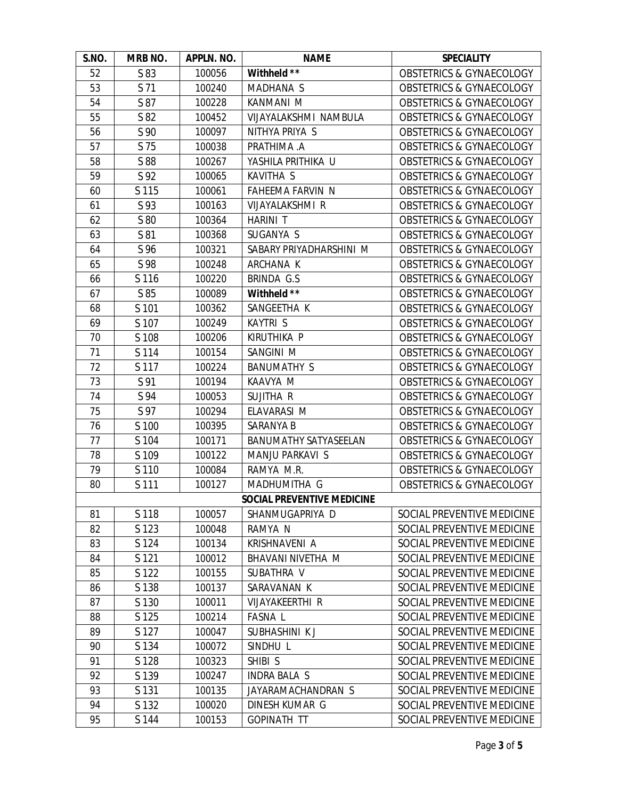| S.NO.                             | MRB NO. | APPLN. NO. | <b>NAME</b>                                            | <b>SPECIALITY</b>                   |  |
|-----------------------------------|---------|------------|--------------------------------------------------------|-------------------------------------|--|
| 52                                | S 83    | 100056     | Withheld **                                            | <b>OBSTETRICS &amp; GYNAECOLOGY</b> |  |
| 53                                | S 71    | 100240     | MADHANA S                                              | <b>OBSTETRICS &amp; GYNAECOLOGY</b> |  |
| 54                                | S 87    | 100228     | KANMANI M                                              | <b>OBSTETRICS &amp; GYNAECOLOGY</b> |  |
| 55                                | S 82    | 100452     | VIJAYALAKSHMI NAMBULA                                  | <b>OBSTETRICS &amp; GYNAECOLOGY</b> |  |
| 56                                | S 90    | 100097     | NITHYA PRIYA S                                         | <b>OBSTETRICS &amp; GYNAECOLOGY</b> |  |
| 57                                | S 75    | 100038     | PRATHIMA .A                                            | <b>OBSTETRICS &amp; GYNAECOLOGY</b> |  |
| 58                                | S 88    | 100267     | YASHILA PRITHIKA U                                     | <b>OBSTETRICS &amp; GYNAECOLOGY</b> |  |
| 59                                | S 92    | 100065     | KAVITHA S                                              | <b>OBSTETRICS &amp; GYNAECOLOGY</b> |  |
| 60                                | S 115   | 100061     | <b>FAHEEMA FARVIN N</b>                                | <b>OBSTETRICS &amp; GYNAECOLOGY</b> |  |
| 61                                | S 93    | 100163     | VIJAYALAKSHMI R                                        | <b>OBSTETRICS &amp; GYNAECOLOGY</b> |  |
| 62                                | S 80    | 100364     | <b>HARINI T</b>                                        | <b>OBSTETRICS &amp; GYNAECOLOGY</b> |  |
| 63                                | S 81    | 100368     | SUGANYA S                                              | <b>OBSTETRICS &amp; GYNAECOLOGY</b> |  |
| 64                                | S 96    | 100321     | SABARY PRIYADHARSHINI M                                | <b>OBSTETRICS &amp; GYNAECOLOGY</b> |  |
| 65                                | S 98    | 100248     | ARCHANA K                                              | <b>OBSTETRICS &amp; GYNAECOLOGY</b> |  |
| 66                                | S 116   | 100220     | BRINDA G.S                                             | <b>OBSTETRICS &amp; GYNAECOLOGY</b> |  |
| 67                                | S 85    | 100089     | Withheld **                                            | OBSTETRICS & GYNAECOLOGY            |  |
| 68                                | S 101   | 100362     | SANGEETHA K                                            | <b>OBSTETRICS &amp; GYNAECOLOGY</b> |  |
| 69                                | S 107   | 100249     | KAYTRI S                                               | <b>OBSTETRICS &amp; GYNAECOLOGY</b> |  |
| 70                                | S 108   | 100206     | KIRUTHIKA P                                            | <b>OBSTETRICS &amp; GYNAECOLOGY</b> |  |
| 71                                | S 114   | 100154     | SANGINI M                                              | <b>OBSTETRICS &amp; GYNAECOLOGY</b> |  |
| 72                                | S 117   | 100224     | <b>BANUMATHY S</b>                                     | <b>OBSTETRICS &amp; GYNAECOLOGY</b> |  |
| 73                                | S 91    | 100194     | KAAVYA M                                               | <b>OBSTETRICS &amp; GYNAECOLOGY</b> |  |
| 74                                | S 94    | 100053     | SUJITHA R                                              | <b>OBSTETRICS &amp; GYNAECOLOGY</b> |  |
| 75                                | S 97    | 100294     | ELAVARASI M                                            | <b>OBSTETRICS &amp; GYNAECOLOGY</b> |  |
| 76                                | S 100   | 100395     | SARANYA B                                              | <b>OBSTETRICS &amp; GYNAECOLOGY</b> |  |
| 77                                | S 104   | 100171     | BANUMATHY SATYASEELAN                                  | <b>OBSTETRICS &amp; GYNAECOLOGY</b> |  |
| 78                                | S 109   | 100122     | MANJU PARKAVI S<br><b>OBSTETRICS &amp; GYNAECOLOGY</b> |                                     |  |
| 79                                | S 110   | 100084     | RAMYA M.R.<br><b>OBSTETRICS &amp; GYNAECOLOGY</b>      |                                     |  |
| 80                                | S 111   | 100127     | MADHUMITHA G<br><b>OBSTETRICS &amp; GYNAECOLOGY</b>    |                                     |  |
| <b>SOCIAL PREVENTIVE MEDICINE</b> |         |            |                                                        |                                     |  |
| 81                                | S 118   | 100057     | SHANMUGAPRIYA D                                        | SOCIAL PREVENTIVE MEDICINE          |  |
| 82                                | S 123   | 100048     | RAMYA N<br>SOCIAL PREVENTIVE MEDICINE                  |                                     |  |
| 83                                | S 124   | 100134     | KRISHNAVENI A                                          | SOCIAL PREVENTIVE MEDICINE          |  |
| 84                                | S 121   | 100012     | BHAVANI NIVETHA M                                      | SOCIAL PREVENTIVE MEDICINE          |  |
| 85                                | S 122   | 100155     | SUBATHRA V                                             | SOCIAL PREVENTIVE MEDICINE          |  |
| 86                                | S 138   | 100137     | SARAVANAN K                                            | SOCIAL PREVENTIVE MEDICINE          |  |
| 87                                | S 130   | 100011     | VIJAYAKEERTHI R                                        | SOCIAL PREVENTIVE MEDICINE          |  |
| 88                                | S 125   | 100214     | <b>FASNAL</b>                                          | SOCIAL PREVENTIVE MEDICINE          |  |
| 89                                | S 127   | 100047     | SUBHASHINI KJ                                          | SOCIAL PREVENTIVE MEDICINE          |  |
| 90                                | S 134   | 100072     | SOCIAL PREVENTIVE MEDICINE<br>SINDHU L                 |                                     |  |
| 91                                | S 128   | 100323     | SHIBI S<br>SOCIAL PREVENTIVE MEDICINE                  |                                     |  |
| 92                                | S 139   | 100247     | <b>INDRA BALA S</b><br>SOCIAL PREVENTIVE MEDICINE      |                                     |  |
| 93                                | S 131   | 100135     | JAYARAMACHANDRAN S                                     | SOCIAL PREVENTIVE MEDICINE          |  |
| 94                                | S 132   | 100020     | DINESH KUMAR G                                         | SOCIAL PREVENTIVE MEDICINE          |  |
| 95                                | S 144   | 100153     | SOCIAL PREVENTIVE MEDICINE<br><b>GOPINATH TT</b>       |                                     |  |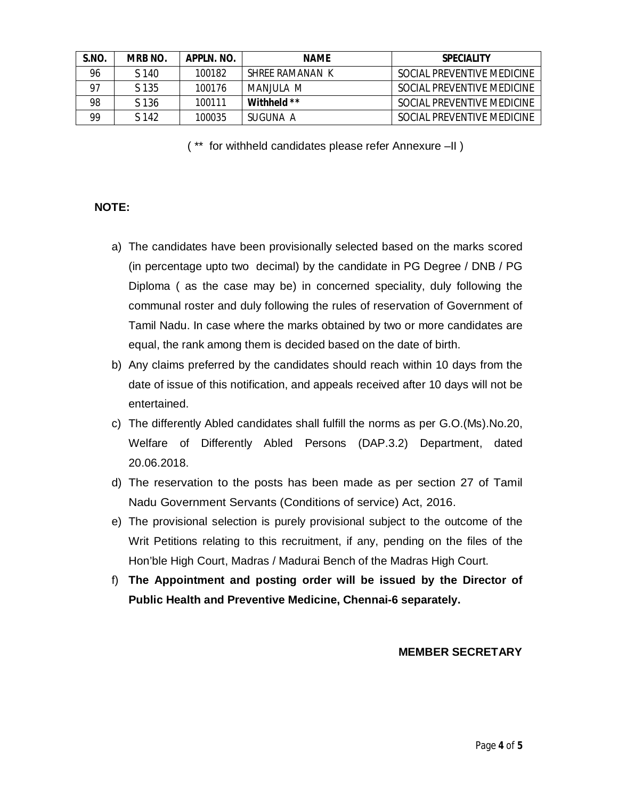| S.NO. | <b>MRB NO.</b> | APPLN, NO. | <b>NAME</b>     | <b>SPECIALITY</b>          |
|-------|----------------|------------|-----------------|----------------------------|
| 96    | S 140          | 100182     | SHREF RAMANAN K | SOCIAL PREVENTIVE MEDICINE |
| 97    | S 135          | 100176     | MANJUJI A M     | SOCIAL PREVENTIVE MEDICINE |
| 98    | S 136          | 100111     | Withheld **     | SOCIAL PREVENTIVE MEDICINE |
| 99    | S 142          | 100035     | SUGUNA A        | SOCIAL PREVENTIVE MEDICINE |

( \*\* for withheld candidates please refer Annexure –II )

### **NOTE:**

- a) The candidates have been provisionally selected based on the marks scored (in percentage upto two decimal) by the candidate in PG Degree / DNB / PG Diploma ( as the case may be) in concerned speciality, duly following the communal roster and duly following the rules of reservation of Government of Tamil Nadu. In case where the marks obtained by two or more candidates are equal, the rank among them is decided based on the date of birth.
- b) Any claims preferred by the candidates should reach within 10 days from the date of issue of this notification, and appeals received after 10 days will not be entertained.
- c) The differently Abled candidates shall fulfill the norms as per G.O.(Ms).No.20, Welfare of Differently Abled Persons (DAP.3.2) Department, dated 20.06.2018.
- d) The reservation to the posts has been made as per section 27 of Tamil Nadu Government Servants (Conditions of service) Act, 2016.
- e) The provisional selection is purely provisional subject to the outcome of the Writ Petitions relating to this recruitment, if any, pending on the files of the Hon'ble High Court, Madras / Madurai Bench of the Madras High Court.
- f) **The Appointment and posting order will be issued by the Director of Public Health and Preventive Medicine, Chennai-6 separately.**

#### **MEMBER SECRETARY**